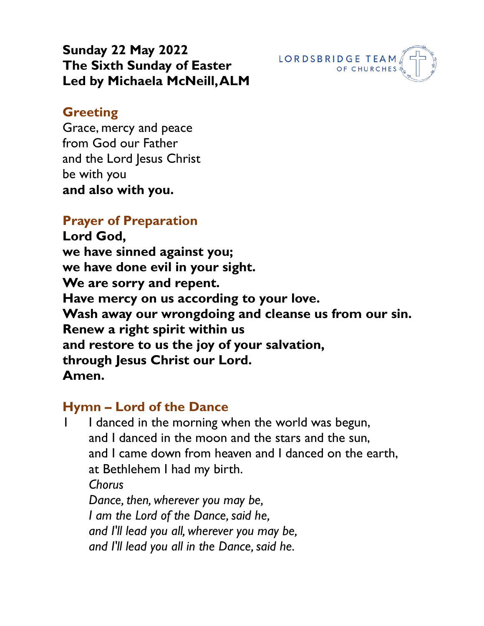**Sunday 22 May 2022 The Sixth Sunday of Easter Led by Michaela McNeill, ALM** 



#### **Greeting**

Grace, mercy and peace from God our Father and the Lord Jesus Christ be with you **and also with you.**

## **Prayer of Preparation**

**Lord God, we have sinned against you; we have done evil in your sight. We are sorry and repent. Have mercy on us according to your love. Wash away our wrongdoing and cleanse us from our sin. Renew a right spirit within us and restore to us the joy of your salvation, through Jesus Christ our Lord. Amen.** 

## **Hymn – Lord of the Dance**

I danced in the morning when the world was begun, and I danced in the moon and the stars and the sun, and I came down from heaven and I danced on the earth, at Bethlehem I had my birth. *Chorus Dance, then, wherever you may be, I am the Lord of the Dance, said he, and I'll lead you all, wherever you may be, and I'll lead you all in the Dance, said he.*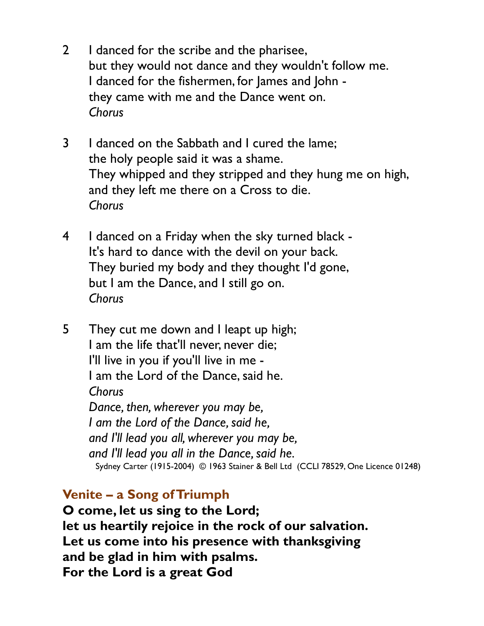- 2 I danced for the scribe and the pharisee, but they would not dance and they wouldn't follow me. I danced for the fishermen, for James and John they came with me and the Dance went on. *Chorus*
- 3 I danced on the Sabbath and I cured the lame; the holy people said it was a shame. They whipped and they stripped and they hung me on high, and they left me there on a Cross to die. *Chorus*
- 4 I danced on a Friday when the sky turned black It's hard to dance with the devil on your back. They buried my body and they thought I'd gone, but I am the Dance, and I still go on. *Chorus*
- 5 They cut me down and I leapt up high; I am the life that'll never, never die; I'll live in you if you'll live in me - I am the Lord of the Dance, said he. *Chorus Dance, then, wherever you may be, I am the Lord of the Dance, said he, and I'll lead you all, wherever you may be, and I'll lead you all in the Dance, said he.*  Sydney Carter (1915-2004) © 1963 Stainer & Bell Ltd (CCLI 78529, One Licence 01248)

**Venite – a Song of Triumph** 

**O come, let us sing to the Lord; let us heartily rejoice in the rock of our salvation. Let us come into his presence with thanksgiving and be glad in him with psalms. For the Lord is a great God**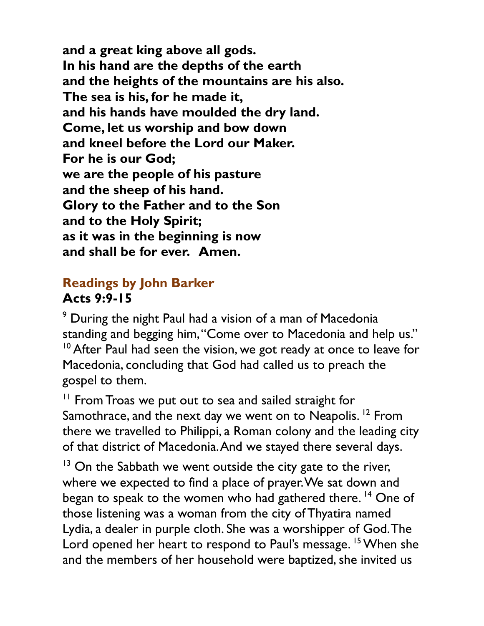**and a great king above all gods. In his hand are the depths of the earth and the heights of the mountains are his also. The sea is his, for he made it, and his hands have moulded the dry land. Come, let us worship and bow down and kneel before the Lord our Maker. For he is our God; we are the people of his pasture and the sheep of his hand. Glory to the Father and to the Son and to the Holy Spirit; as it was in the beginning is now and shall be for ever. Amen.** 

# **Readings by John Barker**

#### **Acts 9:9-15**

 $^9$  During the night Paul had a vision of a man of Macedonia standing and begging him, "Come over to Macedonia and help us."  $10$  After Paul had seen the vision, we got ready at once to leave for Macedonia, concluding that God had called us to preach the gospel to them.

<sup>11</sup> From Troas we put out to sea and sailed straight for Samothrace, and the next day we went on to Neapolis. <sup>12</sup> From there we travelled to Philippi, a Roman colony and the leading city of that district of Macedonia. And we stayed there several days.

 $13$  On the Sabbath we went outside the city gate to the river, where we expected to find a place of prayer. We sat down and began to speak to the women who had gathered there.<sup>14</sup> One of those listening was a woman from the city of Thyatira named Lydia, a dealer in purple cloth. She was a worshipper of God. The Lord opened her heart to respond to Paul's message. <sup>15</sup> When she and the members of her household were baptized, she invited us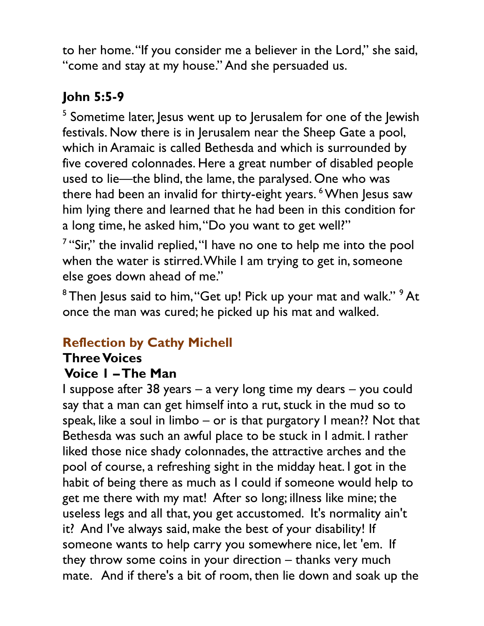to her home. "If you consider me a believer in the Lord," she said, "come and stay at my house." And she persuaded us.

# **John 5:5-9**

 $^5$  Sometime later, Jesus went up to Jerusalem for one of the Jewish festivals. Now there is in Jerusalem near the Sheep Gate a pool, which in Aramaic is called Bethesda and which is surrounded by five covered colonnades. Here a great number of disabled people used to lie—the blind, the lame, the paralysed. One who was there had been an invalid for thirty-eight years. <sup>6</sup> When Jesus saw him lying there and learned that he had been in this condition for a long time, he asked him, "Do you want to get well?"

 $7$  "Sir," the invalid replied, "I have no one to help me into the pool when the water is stirred. While I am trying to get in, someone else goes down ahead of me."

 $^8$ Then Jesus said to him, ''Get up! Pick up your mat and walk.''  $^9$  At once the man was cured; he picked up his mat and walked.

# **Reflection by Cathy Michell**

#### **Three Voices Voice 1 – The Man**

I suppose after 38 years – a very long time my dears – you could say that a man can get himself into a rut, stuck in the mud so to speak, like a soul in limbo – or is that purgatory I mean?? Not that Bethesda was such an awful place to be stuck in I admit. I rather liked those nice shady colonnades, the attractive arches and the pool of course, a refreshing sight in the midday heat. I got in the habit of being there as much as I could if someone would help to get me there with my mat! After so long; illness like mine; the useless legs and all that, you get accustomed. It's normality ain't it? And I've always said, make the best of your disability! If someone wants to help carry you somewhere nice, let 'em. If they throw some coins in your direction – thanks very much mate. And if there's a bit of room, then lie down and soak up the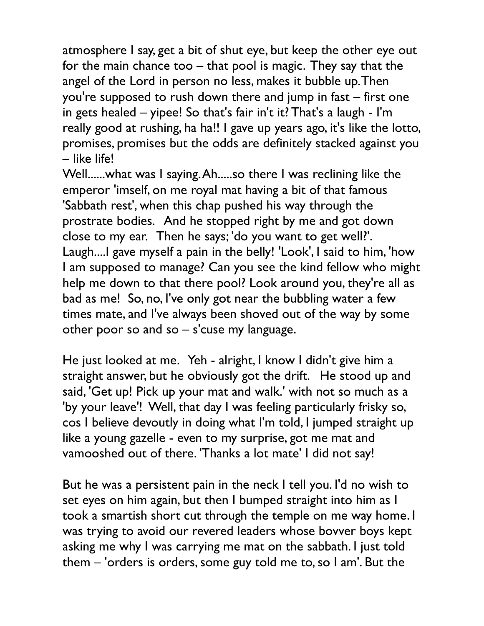atmosphere I say, get a bit of shut eye, but keep the other eye out for the main chance too – that pool is magic. They say that the angel of the Lord in person no less, makes it bubble up. Then you're supposed to rush down there and jump in fast – first one in gets healed – yipee! So that's fair in't it? That's a laugh - I'm really good at rushing, ha ha!! I gave up years ago, it's like the lotto, promises, promises but the odds are definitely stacked against you – like life!

Well......what was I saying. Ah.....so there I was reclining like the emperor 'imself, on me royal mat having a bit of that famous 'Sabbath rest', when this chap pushed his way through the prostrate bodies. And he stopped right by me and got down close to my ear. Then he says; 'do you want to get well?'. Laugh....I gave myself a pain in the belly! 'Look', I said to him, 'how I am supposed to manage? Can you see the kind fellow who might help me down to that there pool? Look around you, they're all as bad as me! So, no, I've only got near the bubbling water a few times mate, and I've always been shoved out of the way by some other poor so and so – s'cuse my language.

He just looked at me. Yeh - alright, I know I didn't give him a straight answer, but he obviously got the drift. He stood up and said, 'Get up! Pick up your mat and walk.' with not so much as a 'by your leave'! Well, that day I was feeling particularly frisky so, cos I believe devoutly in doing what I'm told, I jumped straight up like a young gazelle - even to my surprise, got me mat and vamooshed out of there. 'Thanks a lot mate' I did not say!

But he was a persistent pain in the neck I tell you. I'd no wish to set eyes on him again, but then I bumped straight into him as I took a smartish short cut through the temple on me way home. I was trying to avoid our revered leaders whose bovver boys kept asking me why I was carrying me mat on the sabbath. I just told them – 'orders is orders, some guy told me to, so I am'. But the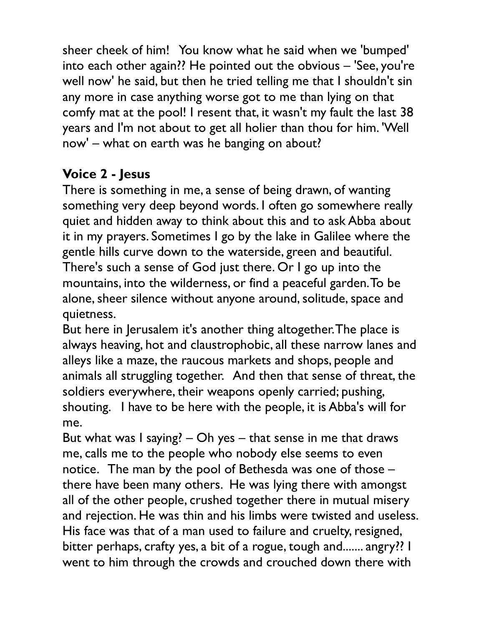sheer cheek of him! You know what he said when we 'bumped' into each other again?? He pointed out the obvious – 'See, you're well now' he said, but then he tried telling me that I shouldn't sin any more in case anything worse got to me than lying on that comfy mat at the pool! I resent that, it wasn't my fault the last 38 years and I'm not about to get all holier than thou for him. 'Well now' – what on earth was he banging on about?

# **Voice 2 - Jesus**

There is something in me, a sense of being drawn, of wanting something very deep beyond words. I often go somewhere really quiet and hidden away to think about this and to ask Abba about it in my prayers. Sometimes I go by the lake in Galilee where the gentle hills curve down to the waterside, green and beautiful. There's such a sense of God just there. Or I go up into the mountains, into the wilderness, or find a peaceful garden. To be alone, sheer silence without anyone around, solitude, space and quietness.

But here in Jerusalem it's another thing altogether. The place is always heaving, hot and claustrophobic, all these narrow lanes and alleys like a maze, the raucous markets and shops, people and animals all struggling together. And then that sense of threat, the soldiers everywhere, their weapons openly carried; pushing, shouting. I have to be here with the people, it is Abba's will for me.

But what was I saying?  $-$  Oh yes  $-$  that sense in me that draws me, calls me to the people who nobody else seems to even notice. The man by the pool of Bethesda was one of those – there have been many others. He was lying there with amongst all of the other people, crushed together there in mutual misery and rejection. He was thin and his limbs were twisted and useless. His face was that of a man used to failure and cruelty, resigned, bitter perhaps, crafty yes, a bit of a rogue, tough and....... angry?? I went to him through the crowds and crouched down there with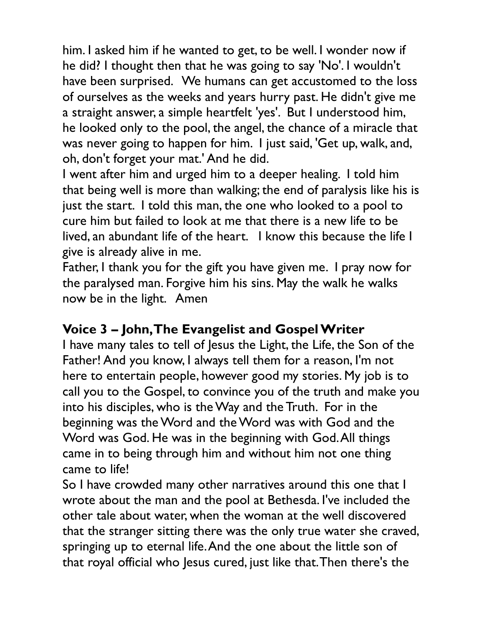him. I asked him if he wanted to get, to be well. I wonder now if he did? I thought then that he was going to say 'No'. I wouldn't have been surprised. We humans can get accustomed to the loss of ourselves as the weeks and years hurry past. He didn't give me a straight answer, a simple heartfelt 'yes'. But I understood him, he looked only to the pool, the angel, the chance of a miracle that was never going to happen for him. I just said, 'Get up, walk, and, oh, don't forget your mat.' And he did.

I went after him and urged him to a deeper healing. I told him that being well is more than walking; the end of paralysis like his is just the start. I told this man, the one who looked to a pool to cure him but failed to look at me that there is a new life to be lived, an abundant life of the heart. I know this because the life I give is already alive in me.

Father, I thank you for the gift you have given me. I pray now for the paralysed man. Forgive him his sins. May the walk he walks now be in the light. Amen

## **Voice 3 – John, The Evangelist and Gospel Writer**

I have many tales to tell of Jesus the Light, the Life, the Son of the Father! And you know, I always tell them for a reason, I'm not here to entertain people, however good my stories. My job is to call you to the Gospel, to convince you of the truth and make you into his disciples, who is the Way and the Truth. For in the beginning was the Word and the Word was with God and the Word was God. He was in the beginning with God. All things came in to being through him and without him not one thing came to life!

So I have crowded many other narratives around this one that I wrote about the man and the pool at Bethesda. I've included the other tale about water, when the woman at the well discovered that the stranger sitting there was the only true water she craved, springing up to eternal life. And the one about the little son of that royal official who Jesus cured, just like that. Then there's the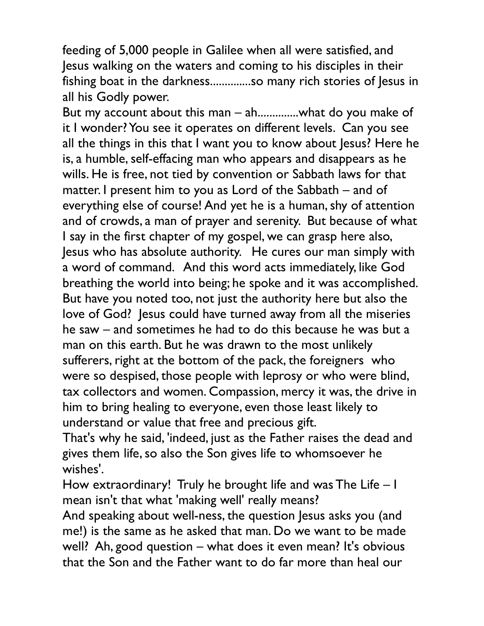feeding of 5,000 people in Galilee when all were satisfied, and Jesus walking on the waters and coming to his disciples in their fishing boat in the darkness..............so many rich stories of Jesus in all his Godly power.

But my account about this man – ah..............what do you make of it I wonder? You see it operates on different levels. Can you see all the things in this that I want you to know about Jesus? Here he is, a humble, self-effacing man who appears and disappears as he wills. He is free, not tied by convention or Sabbath laws for that matter. I present him to you as Lord of the Sabbath – and of everything else of course! And yet he is a human, shy of attention and of crowds, a man of prayer and serenity. But because of what I say in the first chapter of my gospel, we can grasp here also, Jesus who has absolute authority. He cures our man simply with a word of command. And this word acts immediately, like God breathing the world into being; he spoke and it was accomplished. But have you noted too, not just the authority here but also the love of God? Jesus could have turned away from all the miseries he saw – and sometimes he had to do this because he was but a man on this earth. But he was drawn to the most unlikely sufferers, right at the bottom of the pack, the foreigners who were so despised, those people with leprosy or who were blind, tax collectors and women. Compassion, mercy it was, the drive in him to bring healing to everyone, even those least likely to understand or value that free and precious gift.

That's why he said, 'indeed, just as the Father raises the dead and gives them life, so also the Son gives life to whomsoever he wishes'.

How extraordinary! Truly he brought life and was The Life – I mean isn't that what 'making well' really means?

And speaking about well-ness, the question Jesus asks you (and me!) is the same as he asked that man. Do we want to be made well? Ah, good question – what does it even mean? It's obvious that the Son and the Father want to do far more than heal our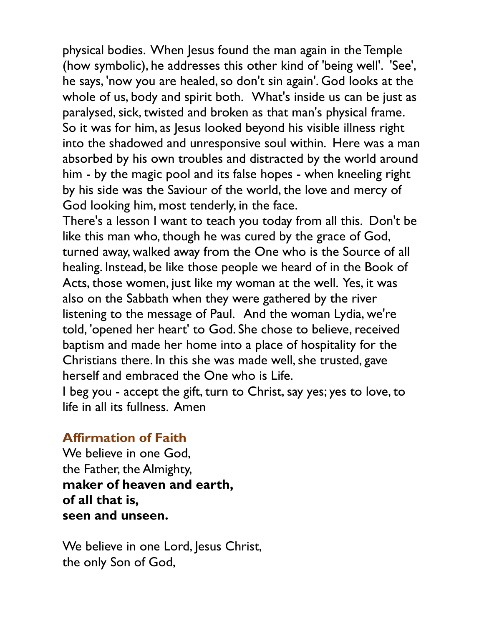physical bodies. When Jesus found the man again in the Temple (how symbolic), he addresses this other kind of 'being well'. 'See', he says, 'now you are healed, so don't sin again'. God looks at the whole of us, body and spirit both. What's inside us can be just as paralysed, sick, twisted and broken as that man's physical frame. So it was for him, as Jesus looked beyond his visible illness right into the shadowed and unresponsive soul within. Here was a man absorbed by his own troubles and distracted by the world around him - by the magic pool and its false hopes - when kneeling right by his side was the Saviour of the world, the love and mercy of God looking him, most tenderly, in the face.

There's a lesson I want to teach you today from all this. Don't be like this man who, though he was cured by the grace of God, turned away, walked away from the One who is the Source of all healing. Instead, be like those people we heard of in the Book of Acts, those women, just like my woman at the well. Yes, it was also on the Sabbath when they were gathered by the river listening to the message of Paul. And the woman Lydia, we're told, 'opened her heart' to God. She chose to believe, received baptism and made her home into a place of hospitality for the Christians there. In this she was made well, she trusted, gave herself and embraced the One who is Life.

I beg you - accept the gift, turn to Christ, say yes; yes to love, to life in all its fullness. Amen

## **Affirmation of Faith**

We believe in one God, the Father, the Almighty, **maker of heaven and earth, of all that is, seen and unseen.**

We believe in one Lord, Jesus Christ, the only Son of God,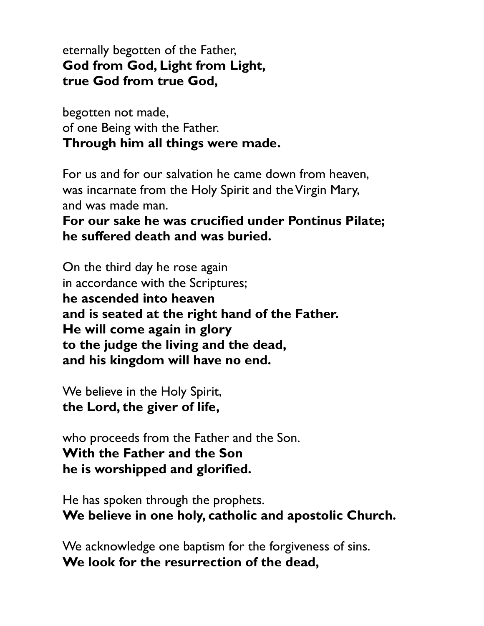eternally begotten of the Father, **God from God, Light from Light, true God from true God,**

begotten not made, of one Being with the Father. **Through him all things were made.**

For us and for our salvation he came down from heaven, was incarnate from the Holy Spirit and the Virgin Mary, and was made man.

**For our sake he was crucified under Pontinus Pilate; he suffered death and was buried.** 

On the third day he rose again in accordance with the Scriptures; **he ascended into heaven and is seated at the right hand of the Father. He will come again in glory to the judge the living and the dead, and his kingdom will have no end.**

We believe in the Holy Spirit, **the Lord, the giver of life,** 

who proceeds from the Father and the Son. **With the Father and the Son he is worshipped and glorified.** 

He has spoken through the prophets. **We believe in one holy, catholic and apostolic Church.**

We acknowledge one baptism for the forgiveness of sins. **We look for the resurrection of the dead,**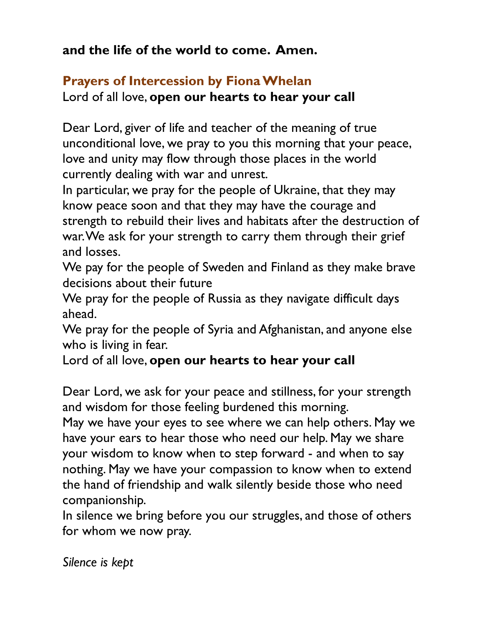## **and the life of the world to come. Amen.**

#### **Prayers of Intercession by Fiona Whelan**  Lord of all love, **open our hearts to hear your call**

Dear Lord, giver of life and teacher of the meaning of true unconditional love, we pray to you this morning that your peace, love and unity may flow through those places in the world currently dealing with war and unrest.

In particular, we pray for the people of Ukraine, that they may know peace soon and that they may have the courage and strength to rebuild their lives and habitats after the destruction of war. We ask for your strength to carry them through their grief and losses.

We pay for the people of Sweden and Finland as they make brave decisions about their future

We pray for the people of Russia as they navigate difficult days ahead.

We pray for the people of Syria and Afghanistan, and anyone else who is living in fear.

Lord of all love, **open our hearts to hear your call**

Dear Lord, we ask for your peace and stillness, for your strength and wisdom for those feeling burdened this morning.

May we have your eyes to see where we can help others. May we have your ears to hear those who need our help. May we share your wisdom to know when to step forward - and when to say nothing. May we have your compassion to know when to extend the hand of friendship and walk silently beside those who need companionship.

In silence we bring before you our struggles, and those of others for whom we now pray.

*Silence is kept*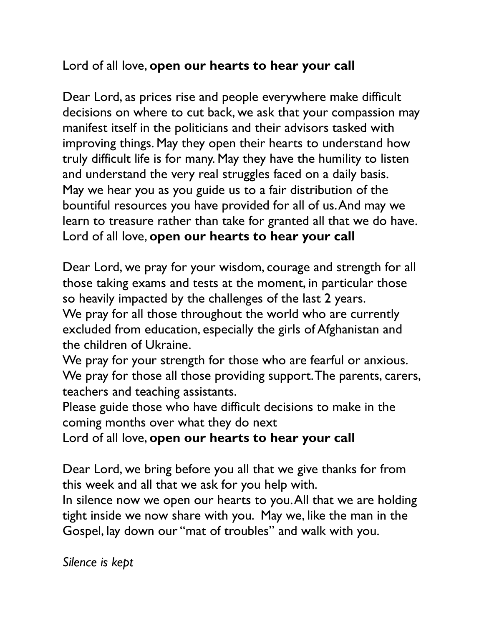### Lord of all love, **open our hearts to hear your call**

Dear Lord, as prices rise and people everywhere make difficult decisions on where to cut back, we ask that your compassion may manifest itself in the politicians and their advisors tasked with improving things. May they open their hearts to understand how truly difficult life is for many. May they have the humility to listen and understand the very real struggles faced on a daily basis. May we hear you as you guide us to a fair distribution of the bountiful resources you have provided for all of us. And may we learn to treasure rather than take for granted all that we do have. Lord of all love, **open our hearts to hear your call** 

Dear Lord, we pray for your wisdom, courage and strength for all those taking exams and tests at the moment, in particular those so heavily impacted by the challenges of the last 2 years. We pray for all those throughout the world who are currently excluded from education, especially the girls of Afghanistan and the children of Ukraine.

We pray for your strength for those who are fearful or anxious. We pray for those all those providing support. The parents, carers, teachers and teaching assistants.

Please guide those who have difficult decisions to make in the coming months over what they do next

Lord of all love, **open our hearts to hear your call**

Dear Lord, we bring before you all that we give thanks for from this week and all that we ask for you help with.

In silence now we open our hearts to you. All that we are holding tight inside we now share with you. May we, like the man in the Gospel, lay down our "mat of troubles" and walk with you.

*Silence is kept*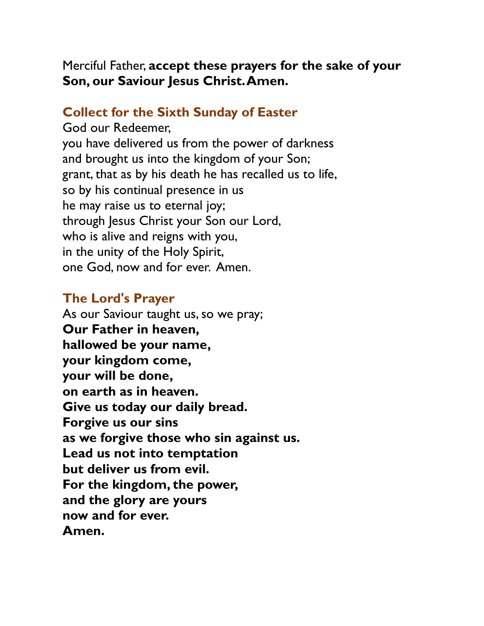Merciful Father, **accept these prayers for the sake of your Son, our Saviour Jesus Christ. Amen.**

#### **Collect for the Sixth Sunday of Easter**

God our Redeemer, you have delivered us from the power of darkness and brought us into the kingdom of your Son; grant, that as by his death he has recalled us to life, so by his continual presence in us he may raise us to eternal joy; through Jesus Christ your Son our Lord, who is alive and reigns with you, in the unity of the Holy Spirit, one God, now and for ever. Amen.

#### **The Lord's Prayer**

As our Saviour taught us, so we pray; **Our Father in heaven, hallowed be your name, your kingdom come, your will be done, on earth as in heaven. Give us today our daily bread. Forgive us our sins as we forgive those who sin against us. Lead us not into temptation but deliver us from evil. For the kingdom, the power, and the glory are yours now and for ever. Amen.**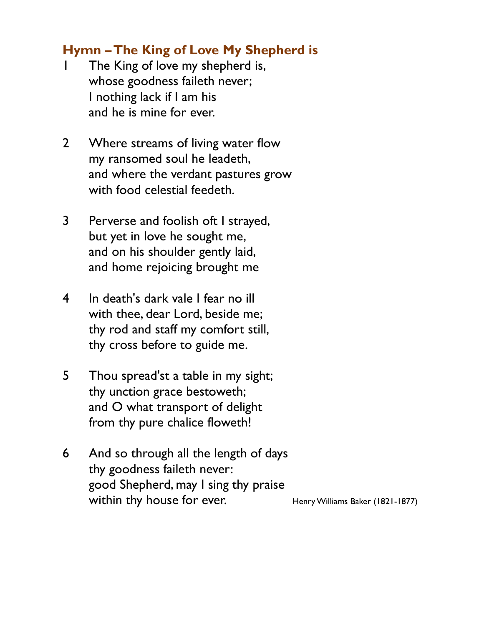#### **Hymn – The King of Love My Shepherd is**

- The King of love my shepherd is, whose goodness faileth never; I nothing lack if I am his and he is mine for ever.
- 2 Where streams of living water flow my ransomed soul he leadeth, and where the verdant pastures grow with food celestial feedeth.
- 3 Perverse and foolish oft I strayed, but yet in love he sought me, and on his shoulder gently laid, and home rejoicing brought me
- 4 In death's dark vale I fear no ill with thee, dear Lord, beside me; thy rod and staff my comfort still, thy cross before to guide me.
- 5 Thou spread'st a table in my sight; thy unction grace bestoweth; and O what transport of delight from thy pure chalice floweth!
- 6 And so through all the length of days thy goodness faileth never: good Shepherd, may I sing thy praise within thy house for ever. Henry Williams Baker (1821-1877)